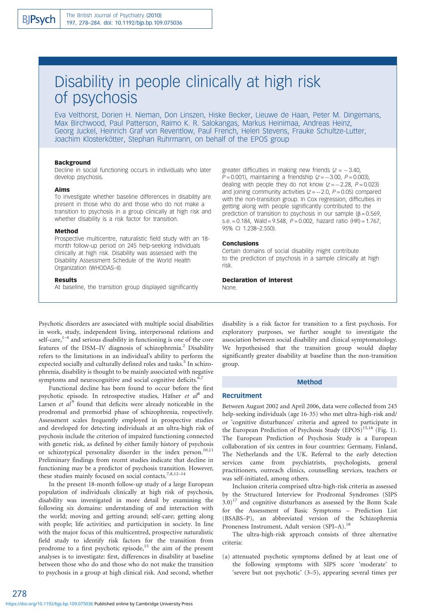# Disability in people clinically at high risk of psychosis

Eva Velthorst, Dorien H. Nieman, Don Linszen, Hiske Becker, Lieuwe de Haan, Peter M. Dingemans, Max Birchwood, Paul Patterson, Raimo K. R. Salokangas, Markus Heinimaa, Andreas Heinz, Georg Juckel, Heinrich Graf von Reventlow, Paul French, Helen Stevens, Frauke Schultze-Lutter, Joachim Klosterkötter, Stephan Ruhrmann, on behalf of the EPOS group

#### Background

Decline in social functioning occurs in individuals who later develop psychosis.

#### Aims

To investigate whether baseline differences in disability are present in those who do and those who do not make a transition to psychosis in a group clinically at high risk and whether disability is a risk factor for transition.

#### Method

Prospective multicentre, naturalistic field study with an 18 month follow-up period on 245 help-seeking individuals clinically at high risk. Disability was assessed with the Disability Assessment Schedule of the World Health Organization (WHODAS–II).

#### Results

At baseline, the transition group displayed significantly

greater difficulties in making new friends  $(z = -3.40,$  $P = 0.001$ ), maintaining a friendship ( $Z = -3.00$ ,  $P = 0.003$ ), dealing with people they do not know  $(z = -2.28, P = 0.023)$ and joining community activities ( $z = -2.0$ ,  $P = 0.05$ ) compared with the non-transition group. In Cox regression, difficulties in getting along with people significantly contributed to the prediction of transition to psychosis in our sample  $(\beta = 0.569)$ , s.e.  $= 0.184$ , Wald  $= 9.548$ ,  $P = 0.002$ , hazard ratio (HR)  $= 1.767$ , 95% CI 1.238–2.550).

#### Conclusions

Certain domains of social disability might contribute to the prediction of psychosis in a sample clinically at high risk.

#### Declaration of interest

None.

Psychotic disorders are associated with multiple social disabilities in work, study, independent living, interpersonal relations and self-care, $1-4$  and serious disability in functioning is one of the core features of the DSM-IV diagnosis of schizophrenia.<sup>2</sup> Disability refers to the limitations in an individual's ability to perform the expected socially and culturally defined roles and tasks.<sup>5</sup> In schizophrenia, disability is thought to be mainly associated with negative symptoms and neurocognitive and social cognitive deficits. $6$ ,

Functional decline has been found to occur before the first psychotic episode. In retrospective studies, Häfner et  $al^8$  and Larsen et  $al^9$  found that deficits were already noticeable in the prodromal and premorbid phase of schizophrenia, respectively. Assessment scales frequently employed in prospective studies and developed for detecting individuals at an ultra-high risk of psychosis include the criterion of impaired functioning connected with genetic risk, as defined by either family history of psychosis or schizotypical personality disorder in the index person.<sup>10,11</sup> Preliminary findings from recent studies indicate that decline in functioning may be a predictor of psychosis transition. However, these studies mainly focused on social contacts.<sup>7,8,12-14</sup>

In the present 18-month follow-up study of a large European population of individuals clinically at high risk of psychosis, disability was investigated in more detail by examining the following six domains: understanding of and interaction with the world; moving and getting around; self-care; getting along with people; life activities; and participation in society. In line with the major focus of this multicentred, prospective naturalistic field study to identify risk factors for the transition from prodrome to a first psychotic episode,<sup>15</sup> the aim of the present analyses is to investigate: first, differences in disability at baseline between those who do and those who do not make the transition to psychosis in a group at high clinical risk. And second, whether

disability is a risk factor for transition to a first psychosis. For exploratory purposes, we further sought to investigate the association between social disability and clinical symptomatology. We hypothesised that the transition group would display significantly greater disability at baseline than the non-transition group.

## Method

#### **Recruitment**

Between August 2002 and April 2006, data were collected from 245 help-seeking individuals (age 16-35) who met ultra-high-risk and/ or 'cognitive disturbances' criteria and agreed to participate in the European Prediction of Psychosis Study (EPOS)<sup>15,16</sup> (Fig. 1). The European Prediction of Psychosis Study is a European collaboration of six centres in four countries: Germany, Finland, The Netherlands and the UK. Referral to the early detection services came from psychiatrists, psychologists, general practitioners, outreach clinics, counselling services, teachers or was self-initiated, among others.

Inclusion criteria comprised ultra-high-risk criteria as assessed by the Structured Interview for Prodromal Syndromes (SIPS  $3.0$ <sup>17</sup> and cognitive disturbances as assessed by the Bonn Scale for the Assessment of Basic Symptoms – Prediction List (BSABS–P), an abbreviated version of the Schizophrenia Proneness Instrument, Adult version (SPI–A).<sup>1</sup>

The ultra-high-risk approach consists of three alternative criteria:

(a) attenuated psychotic symptoms defined by at least one of the following symptoms with SIPS score 'moderate' to 'severe but not psychotic' (3–5), appearing several times per

278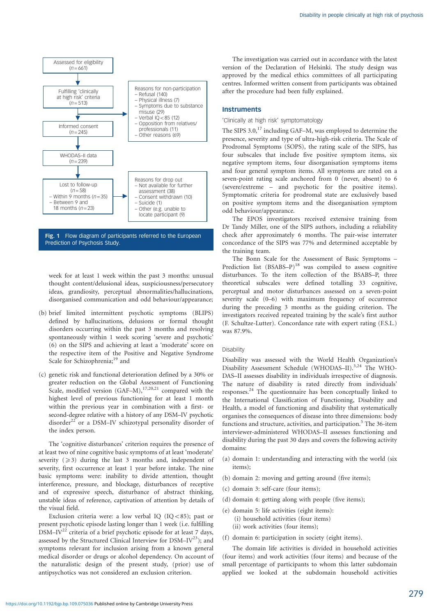

Fig. 1 Flow diagram of participants referred to the European Prediction of Psychosis Study.

week for at least 1 week within the past 3 months: unusual thought content/delusional ideas, suspiciousness/persecutory ideas, grandiosity, perceptual abnormalities/hallucinations, disorganised communication and odd behaviour/appearance;

- (b) brief limited intermittent psychotic symptoms (BLIPS) defined by hallucinations, delusions or formal thought disorders occurring within the past 3 months and resolving spontaneously within 1 week scoring 'severe and psychotic' (6) on the SIPS and achieving at least a 'moderate' score on the respective item of the Positive and Negative Syndrome Scale for Schizophrenia;<sup>19</sup> and
- (c) genetic risk and functional deterioration defined by a 30% or greater reduction on the Global Assessment of Functioning Scale, modified version  $(GAF-M)$ ,<sup>17,20,21</sup> compared with the highest level of previous functioning for at least 1 month within the previous year in combination with a first- or second-degree relative with a history of any DSM–IV psychotic disorder<sup>22</sup> or a DSM–IV schizotypal personality disorder of the index person.

The 'cognitive disturbances' criterion requires the presence of at least two of nine cognitive basic symptoms of at least 'moderate' severity  $(\geq 3)$  during the last 3 months and, independent of severity, first occurrence at least 1 year before intake. The nine basic symptoms were: inability to divide attention, thought interference, pressure, and blockage, disturbances of receptive and of expressive speech, disturbance of abstract thinking, unstable ideas of reference, captivation of attention by details of the visual field.

Exclusion criteria were: a low verbal IQ (IQ < 85); past or present psychotic episode lasting longer than 1 week (i.e. fulfilling DSM $-IV^{22}$  criteria of a brief psychotic episode for at least 7 days, assessed by the Structured Clinical Interview for  $DSM-IV^{23}$ ; and symptoms relevant for inclusion arising from a known general medical disorder or drugs or alcohol dependency. On account of the naturalistic design of the present study, (prior) use of antipsychotics was not considered an exclusion criterion.

The investigation was carried out in accordance with the latest version of the Declaration of Helsinki. The study design was approved by the medical ethics committees of all participating centres. Informed written consent from participants was obtained after the procedure had been fully explained.

## **Instruments**

#### 'Clinically at high risk' symptomatology

The SIPS 3.0,<sup>17</sup> including GAF–M, was employed to determine the presence, severity and type of ultra-high-risk criteria. The Scale of Prodromal Symptoms (SOPS), the rating scale of the SIPS, has four subscales that include five positive symptom items, six negative symptom items, four disorganisation symptoms items and four general symptom items. All symptoms are rated on a seven-point rating scale anchored from 0 (never, absent) to 6 (severe/extreme – and psychotic for the positive items). Symptomatic criteria for prodromal state are exclusively based on positive symptom items and the disorganisation symptom odd behaviour/appearance.

The EPOS investigators received extensive training from Dr Tandy Miller, one of the SIPS authors, including a reliability check after approximately 6 months. The pair-wise interrater concordance of the SIPS was 77% and determined acceptable by the training team.

The Bonn Scale for the Assessment of Basic Symptoms – Prediction list  $(BSABS-P)^{18}$  was compiled to assess cognitive disturbances. To the item collection of the BSABS–P, three theoretical subscales were defined totalling 33 cognitive, perceptual and motor disturbances assessed on a seven-point severity scale (0–6) with maximum frequency of occurrence during the preceding 3 months as the guiding criterion. The investigators received repeated training by the scale's first author (F. Schultze-Lutter). Concordance rate with expert rating (F.S.L.) was 87.9%.

## Disability

Disability was assessed with the World Health Organization's Disability Assessment Schedule (WHODAS–II).<sup>3,24</sup> The WHO-DAS–II assesses disability in individuals irrespective of diagnosis. The nature of disability is rated directly from individuals' responses.24 The questionnaire has been conceptually linked to the International Classification of Functioning, Disability and Health, a model of functioning and disability that systematically organises the consequences of disease into three dimensions: body functions and structure, activities, and participation.<sup>5</sup> The 36-item interviewer-administered WHODAS–II assesses functioning and disability during the past 30 days and covers the following activity domains:

- (a) domain 1: understanding and interacting with the world (six items);
- (b) domain 2: moving and getting around (five items);
- (c) domain 3: self-care (four items);
- (d) domain 4: getting along with people (five items);
- (e) domain 5: life activities (eight items):
	- (i) household activities (four items)
	- (ii) work activities (four items);
- (f) domain 6: participation in society (eight items).

The domain life activities is divided in household activities (four items) and work activities (four items) and because of the small percentage of participants to whom this latter subdomain applied we looked at the subdomain household activities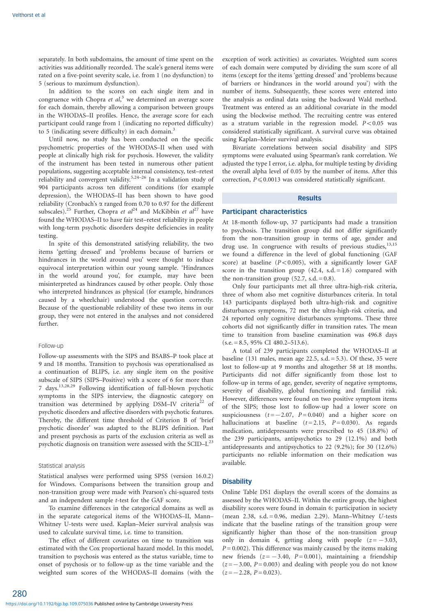separately. In both subdomains, the amount of time spent on the activities was additionally recorded. The scale's general items were rated on a five-point severity scale, i.e. from 1 (no dysfunction) to 5 (serious to maximum dysfunction).

In addition to the scores on each single item and in congruence with Chopra et  $al$ ,<sup>3</sup> we determined an average score for each domain, thereby allowing a comparison between groups in the WHODAS–II profiles. Hence, the average score for each participant could range from 1 (indicating no reported difficulty) to 5 (indicating severe difficulty) in each domain.<sup>3</sup>

Until now, no study has been conducted on the specific psychometric properties of the WHODAS–II when used with people at clinically high risk for psychosis. However, the validity of the instrument has been tested in numerous other patient populations, suggesting acceptable internal consistency, test–retest reliability and convergent validity.5,24–26 In a validation study of 904 participants across ten different conditions (for example depression), the WHODAS–II has been shown to have good reliability (Cronbach's  $\alpha$  ranged from 0.70 to 0.97 for the different subscales).<sup>25</sup> Further, Chopra et  $al^{24}$  and McKibbin et  $al^{27}$  have found the WHODAS–II to have fair test–retest reliability in people with long-term psychotic disorders despite deficiencies in reality testing.

In spite of this demonstrated satisfying reliability, the two items 'getting dressed' and 'problems because of barriers or hindrances in the world around you' were thought to induce equivocal interpretation within our young sample. 'Hindrances in the world around you', for example, may have been misinterpreted as hindrances caused by other people. Only those who interpreted hindrances as physical (for example, hindrances caused by a wheelchair) understood the question correctly. Because of the questionable reliability of these two items in our group, they were not entered in the analyses and not considered further.

## Follow-up

Follow-up assessments with the SIPS and BSABS–P took place at 9 and 18 months. Transition to psychosis was operationalised as a continuation of BLIPS, i.e. any single item on the positive subscale of SIPS (SIPS–Positive) with a score of 6 for more than 7 days.13,28,29 Following identification of full-blown psychotic symptoms in the SIPS interview, the diagnostic category on transition was determined by applying DSM-IV criteria<sup>22</sup> of psychotic disorders and affective disorders with psychotic features. Thereby, the different time threshold of Criterion B of 'brief psychotic disorder' was adapted to the BLIPS definition. Past and present psychosis as parts of the exclusion criteria as well as psychotic diagnosis on transition were assessed with the SCID–I.<sup>2</sup>

#### Statistical analysis

Statistical analyses were performed using SPSS (version 16.0.2) for Windows. Comparisons between the transition group and non-transition group were made with Pearson's chi-squared tests and an independent sample t-test for the GAF score.

To examine differences in the categorical domains as well as in the separate categorical items of the WHODAS–II, Mann– Whitney U-tests were used. Kaplan–Meier survival analysis was used to calculate survival time, i.e. time to transition.

The effect of different covariates on time to transition was estimated with the Cox proportional hazard model. In this model, transition to psychosis was entered as the status variable, time to onset of psychosis or to follow-up as the time variable and the weighted sum scores of the WHODAS–II domains (with the exception of work activities) as covariates. Weighted sum scores of each domain were computed by dividing the sum score of all items (except for the items 'getting dressed' and 'problems because of barriers or hindrances in the world around you') with the number of items. Subsequently, these scores were entered into the analysis as ordinal data using the backward Wald method. Treatment was entered as an additional covariate in the model using the blockwise method. The recruiting centre was entered as a stratum variable in the regression model.  $P < 0.05$  was considered statistically significant. A survival curve was obtained using Kaplan–Meier survival analysis.

Bivariate correlations between social disability and SIPS symptoms were evaluated using Spearman's rank correlation. We adjusted the type I error, i.e. alpha, for multiple testing by dividing the overall alpha level of 0.05 by the number of items. After this correction,  $P \le 0.0013$  was considered statistically significant.

#### Results

## Participant characteristics

At 18-month follow-up, 37 participants had made a transition to psychosis. The transition group did not differ significantly from the non-transition group in terms of age, gender and drug use. In congruence with results of previous studies,  $13,15$ we found a difference in the level of global functioning (GAF score) at baseline ( $P<0.005$ ), with a significantly lower GAF score in the transition group  $(42.4, s.d. = 1.6)$  compared with the non-transition group  $(52.7, s.d. = 0.8)$ .

Only four participants met all three ultra-high-risk criteria, three of whom also met cognitive disturbances criteria. In total 143 participants displayed both ultra-high-risk and cognitive disturbances symptoms, 72 met the ultra-high-risk criteria, and 24 reported only cognitive disturbances symptoms. These three cohorts did not significantly differ in transition rates. The mean time to transition from baseline examination was 496.8 days  $(s.e. = 8.5, 95\% \text{ CI } 480.2 - 513.6).$ 

A total of 239 participants completed the WHODAS–II at baseline (131 males, mean age 22.5, s.d. = 5.3). Of these, 35 were lost to follow-up at 9 months and altogether 58 at 18 months. Participants did not differ significantly from those lost to follow-up in terms of age, gender, severity of negative symptoms, severity of disability, global functioning and familial risk. However, differences were found on two positive symptom items of the SIPS; those lost to follow-up had a lower score on suspiciousness  $(t = -2.07, P = 0.040)$  and a higher score on hallucinations at baseline  $(t = 2.15, P = 0.030)$ . As regards medication, antidepressants were prescribed to 45 (18.8%) of the 239 participants, antipsychotics to 29 (12.1%) and both antidepressants and antipsychotics to 22 (9.2%); for 30 (12.6%) participants no reliable information on their medication was available.

#### **Disability**

Online Table DS1 displays the overall scores of the domains as assessed by the WHODAS–II. Within the entire group, the highest disability scores were found in domain 6: participation in society (mean 2.38, s.d. = 0.96, median 2.29). Mann–Whitney U-tests indicate that the baseline ratings of the transition group were significantly higher than those of the non-transition group only in domain 4, getting along with people  $(z = -3.03,$  $P = 0.002$ ). This difference was mainly caused by the items making new friends  $(z = -3.40, P = 0.001)$ , maintaining a friendship  $(z = -3.00, P = 0.003)$  and dealing with people you do not know  $(z = -2.28, P = 0.023).$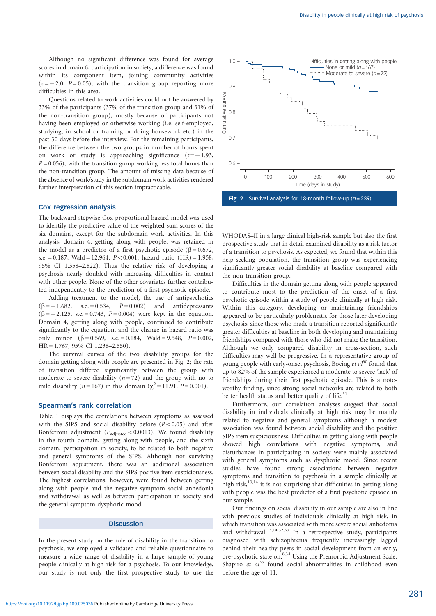Although no significant difference was found for average scores in domain 6, participation in society, a difference was found within its component item, joining community activities  $(z = -2.0, P = 0.05)$ , with the transition group reporting more difficulties in this area.

Questions related to work activities could not be answered by 33% of the participants (37% of the transition group and 31% of the non-transition group), mostly because of participants not having been employed or otherwise working (i.e. self-employed, studying, in school or training or doing housework etc.) in the past 30 days before the interview. For the remaining participants, the difference between the two groups in number of hours spent on work or study is approaching significance  $(t = -1.93,$  $P = 0.056$ , with the transition group working less total hours than the non-transition group. The amount of missing data because of the absence of work/study in the subdomain work activities rendered further interpretation of this section impracticable.

## Cox regression analysis

The backward stepwise Cox proportional hazard model was used to identify the predictive value of the weighted sum scores of the six domains, except for the subdomain work activities. In this analysis, domain 4, getting along with people, was retained in the model as a predictor of a first psychotic episode ( $\beta$  = 0.672, s.e. = 0.187, Wald = 12.964,  $P < 0.001$ , hazard ratio (HR) = 1.958, 95% CI 1.358–2.822). Thus the relative risk of developing a psychosis nearly doubled with increasing difficulties in contact with other people. None of the other covariates further contributed independently to the prediction of a first psychotic episode.

Adding treatment to the model, the use of antipsychotics  $(\beta = -1.682, \text{ s.e.} = 0.534, P= 0.002)$  and antidepressants  $(\beta = -2.125, s.e. = 0.743, P= 0.004)$  were kept in the equation. Domain 4, getting along with people, continued to contribute significantly to the equation, and the change in hazard ratio was only minor  $(\beta = 0.569, s.e. = 0.184, Wald = 9.548, P = 0.002,$ HR = 1.767, 95% CI 1.238–2.550).

The survival curves of the two disability groups for the domain getting along with people are presented in Fig. 2; the rate of transition differed significantly between the group with moderate to severe disability  $(n=72)$  and the group with no to mild disability (*n* = 167) in this domain ( $\chi^2$  = 11.91, *P* = 0.001).

## Spearman's rank correlation

Table 1 displays the correlations between symptoms as assessed with the SIPS and social disability before  $(P<0.05)$  and after Bonferroni adjustment ( $P_{\text{adjusted}} < 0.0013$ ). We found disability in the fourth domain, getting along with people, and the sixth domain, participation in society, to be related to both negative and general symptoms of the SIPS. Although not surviving Bonferroni adjustment, there was an additional association between social disability and the SIPS positive item suspiciousness. The highest correlations, however, were found between getting along with people and the negative symptom social anhedonia and withdrawal as well as between participation in society and the general symptom dysphoric mood.

## **Discussion**

In the present study on the role of disability in the transition to psychosis, we employed a validated and reliable questionnaire to measure a wide range of disability in a large sample of young people clinically at high risk for a psychosis. To our knowledge, our study is not only the first prospective study to use the



Fig. 2 Survival analysis for 18-month follow-up ( $n = 239$ )

WHODAS–II in a large clinical high-risk sample but also the first prospective study that in detail examined disability as a risk factor of a transition to psychosis. As expected, we found that within this help-seeking population, the transition group was experiencing significantly greater social disability at baseline compared with the non-transition group.

Difficulties in the domain getting along with people appeared to contribute most to the prediction of the onset of a first psychotic episode within a study of people clinically at high risk. Within this category, developing or maintaining friendships appeared to be particularly problematic for those later developing psychosis, since those who made a transition reported significantly greater difficulties at baseline in both developing and maintaining friendships compared with those who did not make the transition. Although we only compared disability in cross-section, such difficulties may well be progressive. In a representative group of young people with early-onset psychosis, Boeing  $et al^{30}$  found that up to 82% of the sample experienced a moderate to severe 'lack' of friendships during their first psychotic episode. This is a noteworthy finding, since strong social networks are related to both better health status and better quality of life. $31$ 

Furthermore, our correlation analyses suggest that social disability in individuals clinically at high risk may be mainly related to negative and general symptoms although a modest association was found between social disability and the positive SIPS item suspiciousness. Difficulties in getting along with people showed high correlations with negative symptoms, and disturbances in participating in society were mainly associated with general symptoms such as dysphoric mood. Since recent studies have found strong associations between negative symptoms and transition to psychosis in a sample clinically at high risk,13,14 it is not surprising that difficulties in getting along with people was the best predictor of a first psychotic episode in our sample.

Our findings on social disability in our sample are also in line with previous studies of individuals clinically at high risk, in which transition was associated with more severe social anhedonia and withdrawal.<sup>13,14,32,33</sup> In a retrospective study, participants diagnosed with schizophrenia frequently increasingly lagged behind their healthy peers in social development from an early, pre-psychotic state on.<sup>8,34</sup> Using the Premorbid Adjustment Scale, Shapiro et  $al^{35}$  found social abnormalities in childhood even before the age of 11.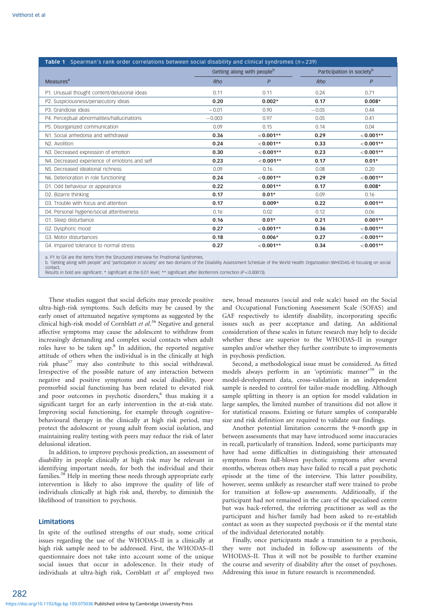| <b>Table 1</b> Spearman's rank order correlations between social disability and clinical syndromes $(n=239)$ |                                        |              |                                       |              |
|--------------------------------------------------------------------------------------------------------------|----------------------------------------|--------------|---------------------------------------|--------------|
|                                                                                                              | Getting along with people <sup>b</sup> |              | Participation in society <sup>b</sup> |              |
| Measures <sup>a</sup>                                                                                        | Rho                                    | $\mathsf{P}$ | Rho                                   | $\mathsf{P}$ |
| P1. Unusual thought content/delusional ideas                                                                 | 0.11                                   | 0.11         | 0.24                                  | 0.71         |
| P2. Suspiciousness/persecutory ideas                                                                         | 0.20                                   | $0.002*$     | 0.17                                  | $0.008*$     |
| P3. Grandiose ideas                                                                                          | $-0.01$                                | 0.90         | $-0.05$                               | 0.44         |
| P4. Perceptual abnormalities/hallucinations                                                                  | $-0.003$                               | 0.97         | 0.05                                  | 0.41         |
| P5. Disorganized communication                                                                               | 0.09                                   | 0.15         | 0.14                                  | 0.04         |
| N1. Social anhedonia and withdrawal                                                                          | 0.36                                   | $< 0.001**$  | 0.29                                  | $< 0.001**$  |
| N <sub>2</sub> . Avolition                                                                                   | 0.24                                   | $< 0.001**$  | 0.33                                  | $< 0.001**$  |
| N3. Decreased expression of emotion                                                                          | 0.30                                   | $< 0.001**$  | 0.23                                  | $< 0.001**$  |
| N4. Decreased experience of emotions and self                                                                | 0.23                                   | $< 0.001**$  | 0.17                                  | $0.01*$      |
| N5. Decreased ideational richness                                                                            | 0.09                                   | 0.16         | 0.08                                  | 0.20         |
| N6. Deterioration in role functioning                                                                        | 0.24                                   | $< 0.001**$  | 0.29                                  | $< 0.001**$  |
| D1. Odd behaviour or appearance                                                                              | 0.22                                   | $0.001**$    | 0.17                                  | $0.008*$     |
| D2. Bizarre thinking                                                                                         | 0.17                                   | $0.01*$      | 0.09                                  | 0.16         |
| D3. Trouble with focus and attention                                                                         | 0.17                                   | $0.009*$     | 0.22                                  | $0.001**$    |
| D4. Personal hygiene/social attentiveness                                                                    | 0.16                                   | 0.02         | 0.12                                  | 0.06         |
| G1. Sleep disturbance                                                                                        | 0.16                                   | $0.01*$      | 0.21                                  | $0.001**$    |
| G2. Dysphoric mood                                                                                           | 0.27                                   | $< 0.001**$  | 0.36                                  | $< 0.001**$  |
| G3. Motor disturbances                                                                                       | 0.18                                   | $0.006*$     | 0.27                                  | $< 0.001**$  |
| G4. Impaired tolerance to normal stress                                                                      | 0.27                                   | $< 0.001**$  | 0.34                                  | $< 0.001**$  |

a. P1 to G4 are the items from the Structured Interview for Prodromal Syndromes.<br>b. 'Getting along with people' and 'participation in society' are two domains of the Disability Assessment Schedule of the World Health Organ contact.

condod.<br>Results in bold are significant: \* significant at the 0.01 level; \*\* significant after Bonferroni correction (P<0.00013).

These studies suggest that social deficits may precede positive ultra-high-risk symptoms. Such deficits may be caused by the early onset of attenuated negative symptoms as suggested by the clinical high-risk model of Cornblatt et al.<sup>36</sup> Negative and general affective symptoms may cause the adolescent to withdraw from increasingly demanding and complex social contacts when adult roles have to be taken up.<sup>8</sup> In addition, the reported negative attitude of others when the individual is in the clinically at high risk phase $37$  may also contribute to this social withdrawal. Irrespective of the possible nature of any interaction between negative and positive symptoms and social disability, poor premorbid social functioning has been related to elevated risk and poor outcomes in psychotic disorders,<sup>6</sup> thus making it a significant target for an early intervention in the at-risk state. Improving social functioning, for example through cognitive– behavioural therapy in the clinically at high risk period, may protect the adolescent or young adult from social isolation, and maintaining reality testing with peers may reduce the risk of later delusional ideation.

In addition, to improve psychosis prediction, an assessment of disability in people clinically at high risk may be relevant in identifying important needs, for both the individual and their families.<sup>38</sup> Help in meeting these needs through appropriate early intervention is likely to also improve the quality of life of individuals clinically at high risk and, thereby, to diminish the likelihood of transition to psychosis.

## Limitations

282

In spite of the outlined strengths of our study, some critical issues regarding the use of the WHODAS–II in a clinically at high risk sample need to be addressed. First, the WHODAS–II questionnaire does not take into account some of the unique social issues that occur in adolescence. In their study of individuals at ultra-high risk, Cornblatt et  $al^7$  employed two new, broad measures (social and role scale) based on the Social and Occupational Functioning Assessment Scale (SOFAS) and GAF respectively to identify disability, incorporating specific issues such as peer acceptance and dating. An additional consideration of these scales in future research may help to decide whether these are superior to the WHODAS–II in younger samples and/or whether they further contribute to improvements in psychosis prediction.

Second, a methodological issue must be considered. As fitted models always perform in an 'optimistic manner'<sup>39</sup> in the model-development data, cross-validation in an independent sample is needed to control for tailor-made modelling. Although sample splitting in theory is an option for model validation in large samples, the limited number of transitions did not allow it for statistical reasons. Existing or future samples of comparable size and risk definition are required to validate our findings.

Another potential limitation concerns the 9-month gap in between assessments that may have introduced some inaccuracies in recall, particularly of transition. Indeed, some participants may have had some difficulties in distinguishing their attenuated symptoms from full-blown psychotic symptoms after several months, whereas others may have failed to recall a past psychotic episode at the time of the interview. This latter possibility, however, seems unlikely as researcher staff were trained to probe for transition at follow-up assessments. Additionally, if the participant had not remained in the care of the specialised centre but was back-referred, the referring practitioner as well as the participant and his/her family had been asked to re-establish contact as soon as they suspected psychosis or if the mental state of the individual deteriorated notably.

Finally, once participants made a transition to a psychosis, they were not included in follow-up assessments of the WHODAS–II. Thus it will not be possible to further examine the course and severity of disability after the onset of psychoses. Addressing this issue in future research is recommended.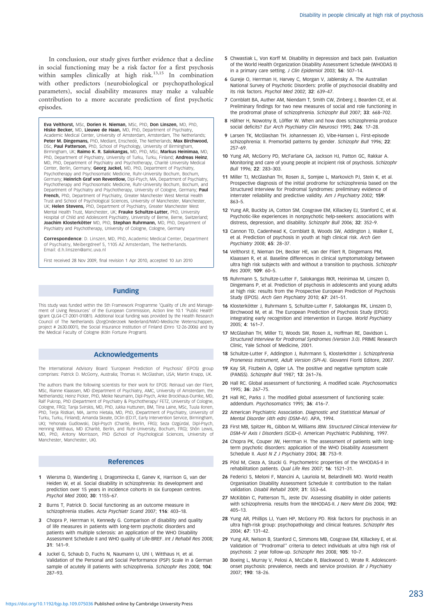In conclusion, our study gives further evidence that a decline in social functioning may be a risk factor for a first psychosis within samples clinically at high risk.<sup>13,15</sup> In combination with other predictors (neurobiological or psychopathological parameters), social disability measures may make a valuable contribution to a more accurate prediction of first psychotic episodes.

Eva Velthorst, MSc, Dorien H. Nieman, MSc, PhD, Don Linszen, MD, PhD, Hiske Becker, MD, Lieuwe de Haan, MD, PhD, Department of Psychiatry, Academic Medical Center, University of Amsterdam, Amsterdam, The Netherlands; **Peter M. Dingemans,** PhD, Mediant, Enschedé, The Netherlands; **Max Birchwood,**<br>DSc, **Paul Patterson,** PhD, School of Psychology, University of Birmingham,<br>Birmingham, UK; **Raimo K. R. Salokangas,** MD, PhD, MSc, **Markus He** PhD, Department of Psychiatry, University of Turku, Turku, Finland; **Andreas Heinz,**<br>MD, PhD, Department of Psychiatry and Psychotherapy, Charité University Medical<br>Center, Berlin, Germany; **Georg Juckel,** MD, PhD, Departm Psychotherapy and Psychosomatic Medicine, Ruhr-University Bochum, Bochum,<br>Germany; **Heinrich Graf von Reventlow,** Dipl-Psych, MA, Department of Psychiatry, Psychotherapy and Psychosomatic Medicine, Ruhr-University Bochum, Bochum, and Department of Psychiatry and Psychotherapy, University of Cologne, Germany; Paul French, PhD, Department of Psychiatry, Greater Manchester West Mental Health Trust and School of Psychological Sciences, University of Manchester, Manchester,<br>UK; **Helen Stevens,** PhD, Department of Psychiatry, Greater Manchester West Mental Health Trust, Manchester, UK; Frauke Schultze-Lutter, PhD, University Hospital of Child and Adolescent Psychiatry, University of Berne, Berne, Switzerland; Joachim Klosterkötter MD, PhD, Stephan Ruhrmann, MD, PhD, Department of Psychiatry and Psychotherapy, University of Cologne, Cologne, Germany

**Correspondence**: D. Linszen, MD, PhD, Academic Medical Center, Department<br>of Psychiatry, Meibergdreef 5, 1105 AZ Amsterdam, The Netherlands. Email: d.h.linszen@amc.uva.nl

First received 28 Nov 2009, final revision 1 Apr 2010, accepted 10 Jun 2010

#### Funding

This study was funded within the 5th Framework Programme 'Quality of Life and Management of Living Resources' of the European Commission, Action line 10.1 'Public Health' (grant QLG4-CT-2001-01081). Additional local funding was provided by the Health Research Council of The Netherlands (ZorgOnderzoek Nederland/NWO-Medische Wetenschappen, project # 2630.0001), the Social Insurance Institution of Finland (Dnro 12-26-2006) and by the Medical Faculty of Cologne (Köln Fortune Program).

#### Acknowledgements

The International Advisory Board 'European Prediction of Psychosis' (EPOS) group comprises: Patrick D. McGorry, Australia; Thomas H. McGlashan, USA; Martin Knapp, UK.

The authors thank the following scientists for their work for EPOS: Reinaud van der Fliert, MSc, Rianne Klaassen, MD (Department of Psychiatry, AMC, University of Amsterdam, the Netherlands); Heinz Picker, PhD, Meike Neumann, Dipl-Psych, Anke Brockhaus-Dumke, MD, Ralf Pukrop, PhD (Department of Psychiatry & Psychotherapy/ FETZ, University of Cologne, Cologne, FRG); Tanja Svirskis, MD, PhD, Jukka Huttunen, BM, Tiina Laine, MSc, Tuula Ilonen, PhD, Terja Ristkari, MA, Jarmo Hietala, MD, PhD, (Department of Psychiatry, University of Turku, Turku, Finland); Amanda Skeate, DClin (ED:IT, Early Intervention Service, Birmingham, UK); Yehonala Gudlowski, Dipl-Psych (Charité, Berlin, FRG); Seza Ozgürdal, Dipl-Psych, Henning Witthaus, MD (Charité, Berlin, and Ruhr-University, Bochum, FRG); Shôn Lewis, MD, PhD, Antony Morrisson, PhD (School of Psychological Sciences, University of Manchester, Manchester, UK).

#### References

- 1 Wiersma D, Wanderling J, Dragomirecka E, Ganev K, Harrison G, van der Heiden W, et al. Social disability in schizophrenia: its development and prediction over 15 years in incidence cohorts in six European centres. Psychol Med 2000; 30: 1155–67.
- 2 Burns T, Patrick D. Social functioning as an outcome measure in schizophrenia studies. Acta Psychiatr Scand 2007; 116: 403–18.
- 3 Chopra P, Herrman H, Kennedy G. Comparison of disability and quality of life measures in patients with long-term psychotic disorders and patients with multiple sclerosis: an application of the WHO Disability Assessment Schedule II and WHO quality of Life-BREF. Int J Rehabil Res 2008; 31: 141–9.
- 4 Juckel G, Schaub D, Fuchs N, Naumann U, Uhl I, Witthaus H, et al. Validation of the Personal and Social Performance (PSP) Scale in a German sample of acutely ill patients with schizophrenia. Schizophr Res 2008; 104: 287–93.
- 5 Chwastiak L, Von Korff M. Disability in depression and back pain. Evaluation of the World Health Organization Disability Assessment Schedule (WHODAS II) in a primary care setting. J Clin Epidemiol 2003; 56: 507-14.
- 6 Gureje O, Herrman H, Harvey C, Morgan V, Jablensky A. The Australian National Survey of Psychotic Disorders: profile of psychosocial disability and its risk factors. Psychol Med 2002; 32: 639–47.
- 7 Cornblatt BA, Auther AM, Niendam T, Smith CW, Zinberg J, Bearden CE, et al. Preliminary findings for two new measures of social and role functioning in the prodromal phase of schizophrenia. Schizophr Bull 2007; 33: 668–702.
- 8 Häfner H, Nowotny B, Löffler W. When and how does schizophrenia produce social deficits? Eur Arch Psychiatry Clin Neurosci 1995; 246: 17-28.
- 9 Larsen TK, McGlashan TH. Johannessen JO, Vibe-Hansen L. First-episode schizophrenia: II. Premorbid patterns by gender. Schizophr Bull 1996; 22: 257–69.
- 10 Yung AR, McGorry PD, McFarlane CA, Jackson HJ, Patton GC, Rakkar A. Monitoring and care of young people at incipient risk of psychosis. Schizophr Bull 1996; 22: 283–303.
- 11 Miller TJ, McGlashan TH, Rosen JL, Somjee L, Markovich PJ, Stein K, et al. Prospective diagnosis of the initial prodrome for schizophrenia based on the Structured Interview for Prodromal Syndromes: preliminary evidence of interrater reliability and predictive validity. Am J Psychiatry 2002; 159: 863–5.
- 12 Yung AR, Buckby JA, Cotton SM, Cosgrave EM, Killackey EJ, Stanford C, et al. Psychotic-like experiences in nonpsychotic help-seekers: associations with distress, depression, and disability. Schizophr Bull 2006; 32: 352–9.
- 13 Cannon TD, Cadenhead K, Cornblatt B, Woods SW, Addington J, Walker E, et al. Prediction of psychosis in youth at high clinical risk. Arch Gen Psychiatry 2008; 65: 28–37.
- 14 Velthorst E, Nieman DH, Becker HE, van der Fliert R, Dingemans PM, Klaassen R, et al. Baseline differences in clinical symptomatology between ultra high risk subjects with and without a transition to psychosis. Schizophr Res 2009; 109: 60–5.
- 15 Ruhrmann S, Schultze-Lutter F, Salokangas RKR, Heinimaa M, Linszen D, Dingemans P, et al. Prediction of psychosis in adolescents and young adults at high risk: results from the Prospective European Prediction of Psychosis Study (EPOS). Arch Gen Psychiatry 2010; 67: 241–51.
- 16 Klosterkötter J, Ruhrmann S, Schultze-Lutter F, Salokangas RK, Linszen D, Birchwood M, et al. The European Prediction of Psychosis Study (EPOS): integrating early recognition and intervention in Europe. World Psychiatry 2005; 4: 161–7.
- 17 McGlashan TH, Miller TJ, Woods SW, Rosen JL, Hoffman RE, Davidson L. Structured Interview for Prodromal Syndromes (Version 3.0). PRIME Research Clinic, Yale School of Medicine, 2001.
- 18 Schultze-Lutter F, Addington J, Ruhrmann S, Klosterkötter J, Schizophrenia Proneness Instrument, Adult Version (SPI-A). Giovanni Fioriti Editore, 2007.
- 19 Kay SR, Fiszbein A, Opler LA. The positive and negative symptom scale (PANSS). Schizophr Bull 1987; 13: 261–76.
- 20 Hall RC. Global assessment of functioning. A modified scale. Psychosomatics 1995; 36: 267–75.
- 21 Hall RC, Parks J. The modified global assessment of functioning scale: addendum. Psychosomatics 1995; 36: 416–7.
- 22 American Psychiatric Association. Diagnostic and Statistical Manual of Mental Disorder (4th edn) (DSM–IV). APA, 1994.
- 23 First MB, Spitzer RL, Gibbon M, Williams JBW. Structured Clinical Interview for DSM-IV Axis I Disorders (SCID-I). American Psychiatric Publishing, 1997.
- 24 Chopra PK, Couper JW, Herrman H. The assessment of patients with longterm psychotic disorders: application of the WHO Disability Assessment Schedule II. Aust N Z J Psychiatry 2004; 38: 753-9.
- 25 Pösl M, Cieza A, Stucki G. Psychometric properties of the WHODAS-II in rehabilitation patients. Qual Life Res 2007; 16: 1521–31.
- 26 Federici S, Meloni F, Mancini A, Lauriola M, Belardinelli MO. World Health Organisation Disability Assessment Schedule II: contribution to the Italian validation. Disabil Rehabil 2009; 31: 553–64.
- 27 McKibbin C, Patterson TL, Jeste DV. Assessing disability in older patients with schizophrenia. results from the WHODAS-II. J Nerv Ment Dis 2004: 192: 405–13.
- 28 Yung AR, Phillips LJ, Yuen HP, McGorry PD. Risk factors for psychosis in an ultra high-risk group: psychopathology and clinical features. Schizophr Res 2004; 67: 131–42.
- 29 Yung AR, Nelson B, Stanford C, Simmons MB, Cosgrave EM, Killackey E, et al. Validation of ''Prodromal'' criteria to detect individuals at ultra high risk of psychosis: 2 year follow-up. Schizophr Res 2008; 105: 10–7.
- 30 Boeing L, Murray V, Pelosi A, McCabe R, Blackwood D, Wrate R. Adolescentonset psychosis: prevalence, needs and service provision. Br J Psychiatry 2007; 190: 18–26.